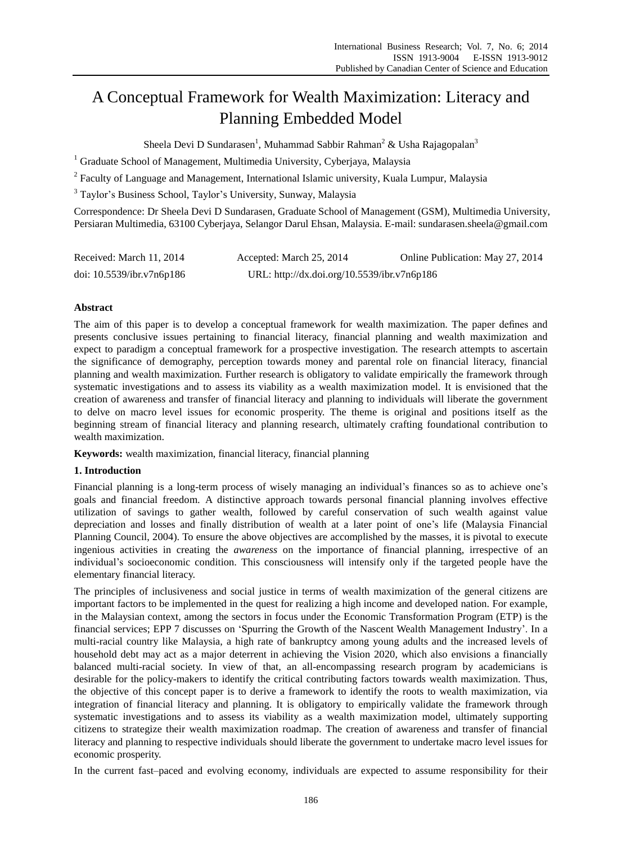# A Conceptual Framework for Wealth Maximization: Literacy and Planning Embedded Model

Sheela Devi D Sundarasen<sup>1</sup>, Muhammad Sabbir Rahman<sup>2</sup> & Usha Rajagopalan<sup>3</sup>

 $1$  Graduate School of Management, Multimedia University, Cyberjaya, Malaysia

<sup>2</sup> Faculty of Language and Management, International Islamic university, Kuala Lumpur, Malaysia

<sup>3</sup> Taylor"s Business School, Taylor"s University, Sunway, Malaysia

Correspondence: Dr Sheela Devi D Sundarasen, Graduate School of Management (GSM), Multimedia University, Persiaran Multimedia, 63100 Cyberjaya, Selangor Darul Ehsan, Malaysia. E-mail: sundarasen.sheela@gmail.com

| Received: March 11, 2014  | Accepted: March 25, 2014                    | Online Publication: May 27, 2014 |
|---------------------------|---------------------------------------------|----------------------------------|
| doi: 10.5539/ibr.v7n6p186 | URL: http://dx.doi.org/10.5539/ibr.v7n6p186 |                                  |

# **Abstract**

The aim of this paper is to develop a conceptual framework for wealth maximization. The paper defines and presents conclusive issues pertaining to financial literacy, financial planning and wealth maximization and expect to paradigm a conceptual framework for a prospective investigation. The research attempts to ascertain the significance of demography, perception towards money and parental role on financial literacy, financial planning and wealth maximization. Further research is obligatory to validate empirically the framework through systematic investigations and to assess its viability as a wealth maximization model. It is envisioned that the creation of awareness and transfer of financial literacy and planning to individuals will liberate the government to delve on macro level issues for economic prosperity. The theme is original and positions itself as the beginning stream of financial literacy and planning research, ultimately crafting foundational contribution to wealth maximization.

**Keywords:** wealth maximization, financial literacy, financial planning

### **1. Introduction**

Financial planning is a long-term process of wisely managing an individual's finances so as to achieve one's goals and financial freedom. A distinctive approach towards personal financial planning involves effective utilization of savings to gather wealth, followed by careful conservation of such wealth against value depreciation and losses and finally distribution of wealth at a later point of one"s life (Malaysia Financial Planning Council, 2004). To ensure the above objectives are accomplished by the masses, it is pivotal to execute ingenious activities in creating the *awareness* on the importance of financial planning, irrespective of an individual"s socioeconomic condition. This consciousness will intensify only if the targeted people have the elementary financial literacy.

The principles of inclusiveness and social justice in terms of wealth maximization of the general citizens are important factors to be implemented in the quest for realizing a high income and developed nation. For example, in the Malaysian context, among the sectors in focus under the Economic Transformation Program (ETP) is the financial services; EPP 7 discusses on "Spurring the Growth of the Nascent Wealth Management Industry". In a multi-racial country like Malaysia, a high rate of bankruptcy among young adults and the increased levels of household debt may act as a major deterrent in achieving the Vision 2020, which also envisions a financially balanced multi-racial society. In view of that, an all-encompassing research program by academicians is desirable for the policy-makers to identify the critical contributing factors towards wealth maximization. Thus, the objective of this concept paper is to derive a framework to identify the roots to wealth maximization, via integration of financial literacy and planning. It is obligatory to empirically validate the framework through systematic investigations and to assess its viability as a wealth maximization model, ultimately supporting citizens to strategize their wealth maximization roadmap. The creation of awareness and transfer of financial literacy and planning to respective individuals should liberate the government to undertake macro level issues for economic prosperity.

In the current fast–paced and evolving economy, individuals are expected to assume responsibility for their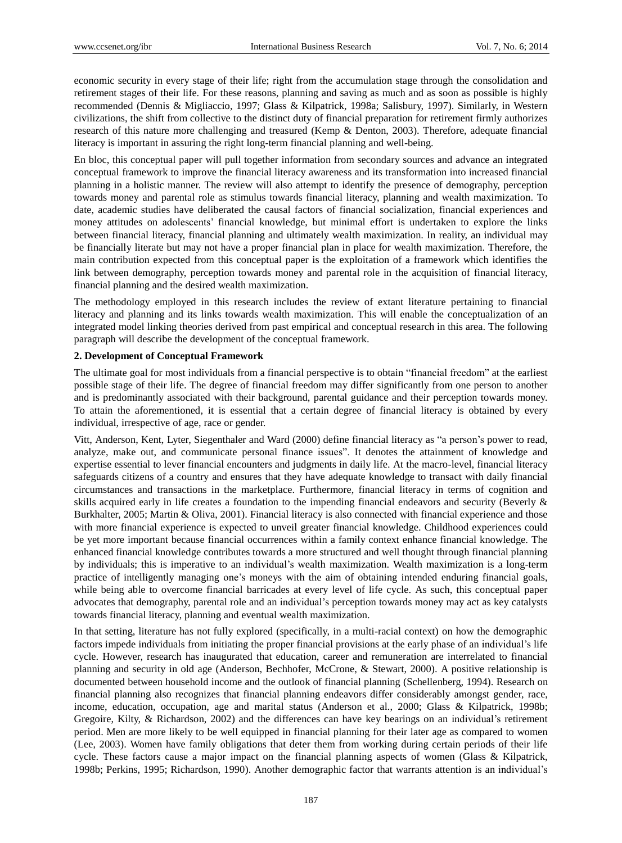economic security in every stage of their life; right from the accumulation stage through the consolidation and retirement stages of their life. For these reasons, planning and saving as much and as soon as possible is highly recommended (Dennis & Migliaccio, 1997; Glass & Kilpatrick, 1998a; Salisbury, 1997). Similarly, in Western civilizations, the shift from collective to the distinct duty of financial preparation for retirement firmly authorizes research of this nature more challenging and treasured (Kemp & Denton, 2003). Therefore, adequate financial literacy is important in assuring the right long-term financial planning and well-being.

En bloc, this conceptual paper will pull together information from secondary sources and advance an integrated conceptual framework to improve the financial literacy awareness and its transformation into increased financial planning in a holistic manner. The review will also attempt to identify the presence of demography, perception towards money and parental role as stimulus towards financial literacy, planning and wealth maximization. To date, academic studies have deliberated the causal factors of financial socialization, financial experiences and money attitudes on adolescents' financial knowledge, but minimal effort is undertaken to explore the links between financial literacy, financial planning and ultimately wealth maximization. In reality, an individual may be financially literate but may not have a proper financial plan in place for wealth maximization. Therefore, the main contribution expected from this conceptual paper is the exploitation of a framework which identifies the link between demography, perception towards money and parental role in the acquisition of financial literacy, financial planning and the desired wealth maximization.

The methodology employed in this research includes the review of extant literature pertaining to financial literacy and planning and its links towards wealth maximization. This will enable the conceptualization of an integrated model linking theories derived from past empirical and conceptual research in this area. The following paragraph will describe the development of the conceptual framework.

# **2. Development of Conceptual Framework**

The ultimate goal for most individuals from a financial perspective is to obtain "financial freedom" at the earliest possible stage of their life. The degree of financial freedom may differ significantly from one person to another and is predominantly associated with their background, parental guidance and their perception towards money. To attain the aforementioned, it is essential that a certain degree of financial literacy is obtained by every individual, irrespective of age, race or gender.

Vitt, Anderson, Kent, Lyter, Siegenthaler and Ward (2000) define financial literacy as "a person"s power to read, analyze, make out, and communicate personal finance issues". It denotes the attainment of knowledge and expertise essential to lever financial encounters and judgments in daily life. At the macro-level, financial literacy safeguards citizens of a country and ensures that they have adequate knowledge to transact with daily financial circumstances and transactions in the marketplace. Furthermore, financial literacy in terms of cognition and skills acquired early in life creates a foundation to the impending financial endeavors and security (Beverly & Burkhalter, 2005; Martin & Oliva, 2001). Financial literacy is also connected with financial experience and those with more financial experience is expected to unveil greater financial knowledge. Childhood experiences could be yet more important because financial occurrences within a family context enhance financial knowledge. The enhanced financial knowledge contributes towards a more structured and well thought through financial planning by individuals; this is imperative to an individual"s wealth maximization. Wealth maximization is a long-term practice of intelligently managing one"s moneys with the aim of obtaining intended enduring financial goals, while being able to overcome financial barricades at every level of life cycle. As such, this conceptual paper advocates that demography, parental role and an individual"s perception towards money may act as key catalysts towards financial literacy, planning and eventual wealth maximization.

In that setting, literature has not fully explored (specifically, in a multi-racial context) on how the demographic factors impede individuals from initiating the proper financial provisions at the early phase of an individual"s life cycle. However, research has inaugurated that education, career and remuneration are interrelated to financial planning and security in old age (Anderson, Bechhofer, McCrone, & Stewart, 2000). A positive relationship is documented between household income and the outlook of financial planning (Schellenberg, 1994). Research on financial planning also recognizes that financial planning endeavors differ considerably amongst gender, race, income, education, occupation, age and marital status (Anderson et al., 2000; Glass & Kilpatrick, 1998b; Gregoire, Kilty, & Richardson, 2002) and the differences can have key bearings on an individual"s retirement period. Men are more likely to be well equipped in financial planning for their later age as compared to women (Lee, 2003). Women have family obligations that deter them from working during certain periods of their life cycle. These factors cause a major impact on the financial planning aspects of women (Glass & Kilpatrick, 1998b; Perkins, 1995; Richardson, 1990). Another demographic factor that warrants attention is an individual"s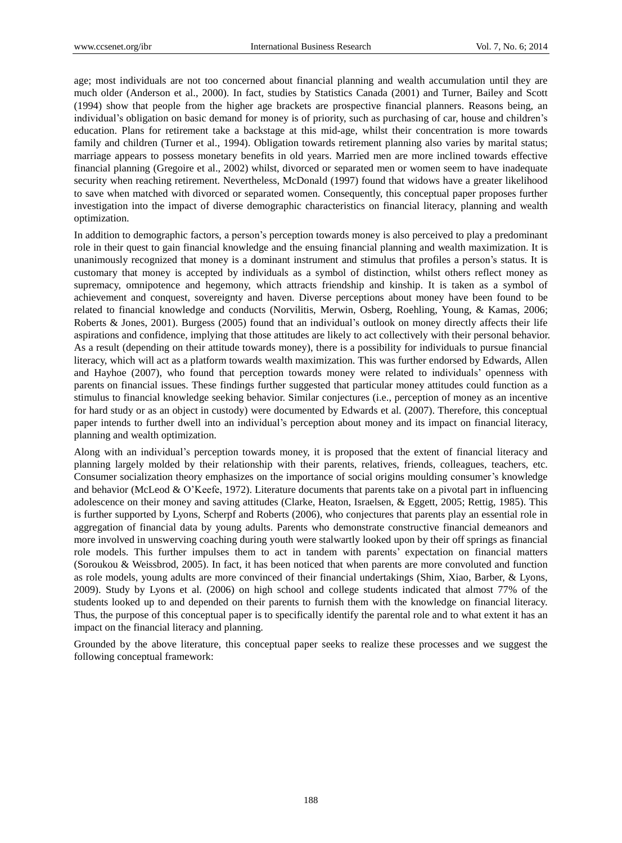age; most individuals are not too concerned about financial planning and wealth accumulation until they are much older (Anderson et al., 2000). In fact, studies by Statistics Canada (2001) and Turner, Bailey and Scott (1994) show that people from the higher age brackets are prospective financial planners. Reasons being, an individual's obligation on basic demand for money is of priority, such as purchasing of car, house and children's education. Plans for retirement take a backstage at this mid-age, whilst their concentration is more towards family and children (Turner et al., 1994). Obligation towards retirement planning also varies by marital status; marriage appears to possess monetary benefits in old years. Married men are more inclined towards effective financial planning (Gregoire et al., 2002) whilst, divorced or separated men or women seem to have inadequate security when reaching retirement. Nevertheless, McDonald (1997) found that widows have a greater likelihood to save when matched with divorced or separated women. Consequently, this conceptual paper proposes further investigation into the impact of diverse demographic characteristics on financial literacy, planning and wealth optimization.

In addition to demographic factors, a person"s perception towards money is also perceived to play a predominant role in their quest to gain financial knowledge and the ensuing financial planning and wealth maximization. It is unanimously recognized that money is a dominant instrument and stimulus that profiles a person"s status. It is customary that money is accepted by individuals as a symbol of distinction, whilst others reflect money as supremacy, omnipotence and hegemony, which attracts friendship and kinship. It is taken as a symbol of achievement and conquest, sovereignty and haven. Diverse perceptions about money have been found to be related to financial knowledge and conducts (Norvilitis, Merwin, Osberg, Roehling, Young, & Kamas, 2006; Roberts & Jones, 2001). Burgess (2005) found that an individual"s outlook on money directly affects their life aspirations and confidence, implying that those attitudes are likely to act collectively with their personal behavior. As a result (depending on their attitude towards money), there is a possibility for individuals to pursue financial literacy, which will act as a platform towards wealth maximization. This was further endorsed by Edwards, Allen and Hayhoe (2007), who found that perception towards money were related to individuals" openness with parents on financial issues. These findings further suggested that particular money attitudes could function as a stimulus to financial knowledge seeking behavior. Similar conjectures (i.e., perception of money as an incentive for hard study or as an object in custody) were documented by Edwards et al. (2007). Therefore, this conceptual paper intends to further dwell into an individual"s perception about money and its impact on financial literacy, planning and wealth optimization.

Along with an individual"s perception towards money, it is proposed that the extent of financial literacy and planning largely molded by their relationship with their parents, relatives, friends, colleagues, teachers, etc. Consumer socialization theory emphasizes on the importance of social origins moulding consumer"s knowledge and behavior (McLeod & O"Keefe, 1972). Literature documents that parents take on a pivotal part in influencing adolescence on their money and saving attitudes (Clarke, Heaton, Israelsen, & Eggett, 2005; Rettig, 1985). This is further supported by Lyons, Scherpf and Roberts (2006), who conjectures that parents play an essential role in aggregation of financial data by young adults. Parents who demonstrate constructive financial demeanors and more involved in unswerving coaching during youth were stalwartly looked upon by their off springs as financial role models. This further impulses them to act in tandem with parents" expectation on financial matters (Soroukou & Weissbrod, 2005). In fact, it has been noticed that when parents are more convoluted and function as role models, young adults are more convinced of their financial undertakings (Shim, Xiao, Barber, & Lyons, 2009). Study by Lyons et al. (2006) on high school and college students indicated that almost 77% of the students looked up to and depended on their parents to furnish them with the knowledge on financial literacy. Thus, the purpose of this conceptual paper is to specifically identify the parental role and to what extent it has an impact on the financial literacy and planning.

Grounded by the above literature, this conceptual paper seeks to realize these processes and we suggest the following conceptual framework: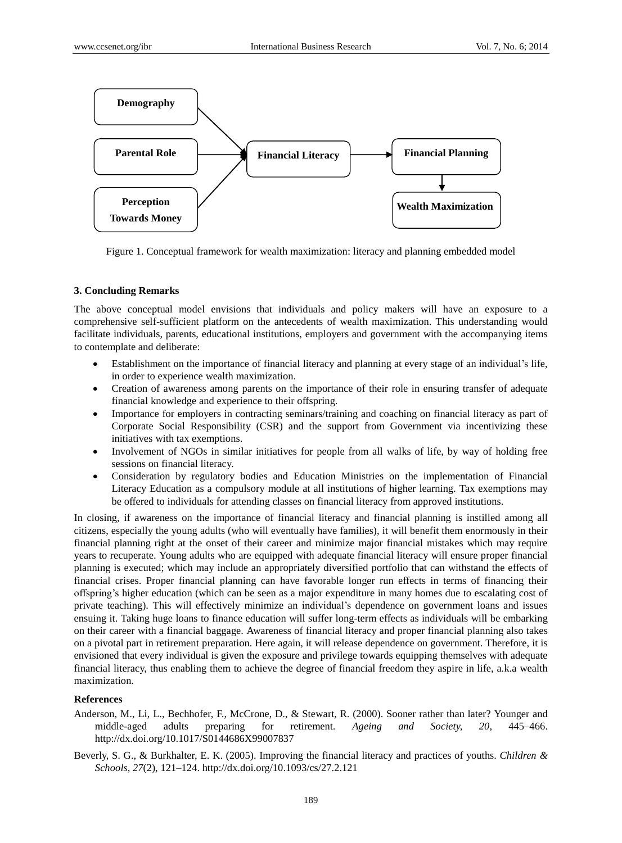

Figure 1. Conceptual framework for wealth maximization: literacy and planning embedded model

## **3. Concluding Remarks**

The above conceptual model envisions that individuals and policy makers will have an exposure to a comprehensive self-sufficient platform on the antecedents of wealth maximization. This understanding would facilitate individuals, parents, educational institutions, employers and government with the accompanying items to contemplate and deliberate:

- Establishment on the importance of financial literacy and planning at every stage of an individual"s life, in order to experience wealth maximization.
- Creation of awareness among parents on the importance of their role in ensuring transfer of adequate financial knowledge and experience to their offspring.
- Importance for employers in contracting seminars/training and coaching on financial literacy as part of Corporate Social Responsibility (CSR) and the support from Government via incentivizing these initiatives with tax exemptions.
- Involvement of NGOs in similar initiatives for people from all walks of life, by way of holding free sessions on financial literacy.
- Consideration by regulatory bodies and Education Ministries on the implementation of Financial Literacy Education as a compulsory module at all institutions of higher learning. Tax exemptions may be offered to individuals for attending classes on financial literacy from approved institutions.

In closing, if awareness on the importance of financial literacy and financial planning is instilled among all citizens, especially the young adults (who will eventually have families), it will benefit them enormously in their financial planning right at the onset of their career and minimize major financial mistakes which may require years to recuperate. Young adults who are equipped with adequate financial literacy will ensure proper financial planning is executed; which may include an appropriately diversified portfolio that can withstand the effects of financial crises. Proper financial planning can have favorable longer run effects in terms of financing their offspring"s higher education (which can be seen as a major expenditure in many homes due to escalating cost of private teaching). This will effectively minimize an individual"s dependence on government loans and issues ensuing it. Taking huge loans to finance education will suffer long-term effects as individuals will be embarking on their career with a financial baggage. Awareness of financial literacy and proper financial planning also takes on a pivotal part in retirement preparation. Here again, it will release dependence on government. Therefore, it is envisioned that every individual is given the exposure and privilege towards equipping themselves with adequate financial literacy, thus enabling them to achieve the degree of financial freedom they aspire in life, a.k.a wealth maximization.

#### **References**

- Anderson, M., Li, L., Bechhofer, F., McCrone, D., & Stewart, R. (2000). Sooner rather than later? Younger and middle-aged adults preparing for retirement. *Ageing and Society, 20*, 445–466. http://dx.doi.org/10.1017/S0144686X99007837
- Beverly, S. G., & Burkhalter, E. K. (2005). Improving the financial literacy and practices of youths. *Children & Schools, 27*(2), 121–124. http://dx.doi.org/10.1093/cs/27.2.121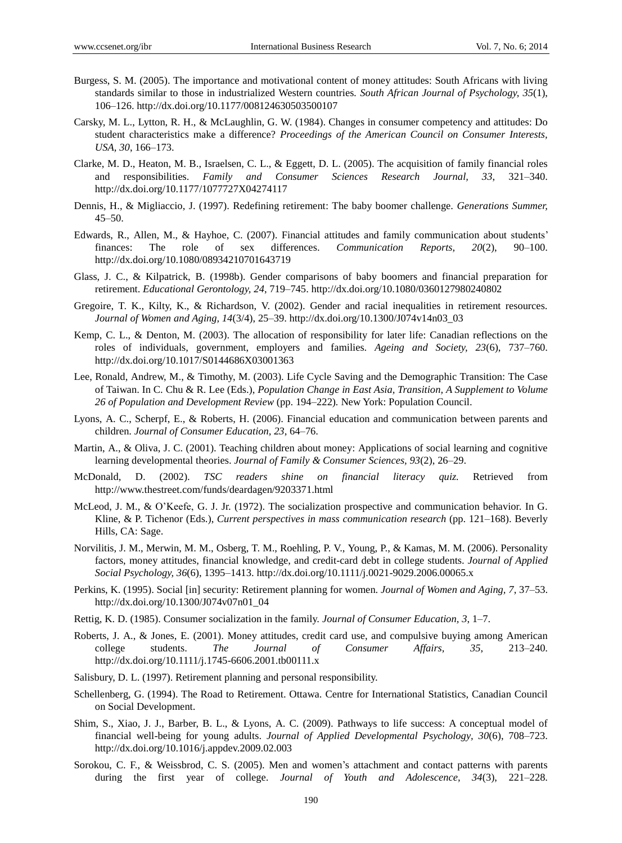- Burgess, S. M. (2005). The importance and motivational content of money attitudes: South Africans with living standards similar to those in industrialized Western countries*. South African Journal of Psychology, 35*(1), 106–126. http://dx.doi.org/10.1177/008124630503500107
- Carsky, M. L., Lytton, R. H., & McLaughlin, G. W. (1984). Changes in consumer competency and attitudes: Do student characteristics make a difference? *Proceedings of the American Council on Consumer Interests, USA, 30*, 166–173.
- Clarke, M. D., Heaton, M. B., Israelsen, C. L., & Eggett, D. L. (2005). The acquisition of family financial roles and responsibilities. *Family and Consumer Sciences Research Journal, 33*, 321–340. http://dx.doi.org/10.1177/1077727X04274117
- Dennis, H., & Migliaccio, J. (1997). Redefining retirement: The baby boomer challenge. *Generations Summer,* 45–50.
- Edwards, R., Allen, M., & Hayhoe, C. (2007). Financial attitudes and family communication about students" finances: The role of sex differences. *Communication Reports, 20*(2), 90–100. http://dx.doi.org/10.1080/08934210701643719
- Glass, J. C., & Kilpatrick, B. (1998b). Gender comparisons of baby boomers and financial preparation for retirement. *Educational Gerontology, 24*, 719–745. http://dx.doi.org/10.1080/0360127980240802
- Gregoire, T. K., Kilty, K., & Richardson, V. (2002). Gender and racial inequalities in retirement resources. *Journal of Women and Aging, 14*(3/4), 25–39. http://dx.doi.org/10.1300/J074v14n03\_03
- Kemp, C. L., & Denton, M. (2003). The allocation of responsibility for later life: Canadian reflections on the roles of individuals, government, employers and families. *Ageing and Society, 23*(6), 737–760. http://dx.doi.org/10.1017/S0144686X03001363
- Lee, Ronald, Andrew, M., & Timothy, M. (2003). Life Cycle Saving and the Demographic Transition: The Case of Taiwan. In C. Chu & R. Lee (Eds.), *Population Change in East Asia, Transition, A Supplement to Volume 26 of Population and Development Review* (pp. 194–222)*.* New York: Population Council.
- Lyons, A. C., Scherpf, E., & Roberts, H. (2006). Financial education and communication between parents and children. *Journal of Consumer Education, 23*, 64–76.
- Martin, A., & Oliva, J. C. (2001). Teaching children about money: Applications of social learning and cognitive learning developmental theories. *Journal of Family & Consumer Sciences, 93*(2), 26–29.
- McDonald, D. (2002). *TSC readers shine on financial literacy quiz.* Retrieved from http://www.thestreet.com/funds/deardagen/9203371.html
- McLeod, J. M., & O"Keefe, G. J. Jr. (1972). The socialization prospective and communication behavior. In G. Kline, & P. Tichenor (Eds.), *Current perspectives in mass communication research* (pp. 121–168). Beverly Hills, CA: Sage.
- Norvilitis, J. M., Merwin, M. M., Osberg, T. M., Roehling, P. V., Young, P., & Kamas, M. M. (2006). Personality factors, money attitudes, financial knowledge, and credit-card debt in college students. *Journal of Applied Social Psychology, 36*(6), 1395–1413. http://dx.doi.org/10.1111/j.0021-9029.2006.00065.x
- Perkins, K. (1995). Social [in] security: Retirement planning for women. *Journal of Women and Aging, 7*, 37–53. http://dx.doi.org/10.1300/J074v07n01\_04
- Rettig, K. D. (1985). Consumer socialization in the family. *Journal of Consumer Education, 3*, 1–7.
- Roberts, J. A., & Jones, E. (2001). Money attitudes, credit card use, and compulsive buying among American college students. *The Journal of Consumer Affairs, 35*, 213–240. http://dx.doi.org/10.1111/j.1745-6606.2001.tb00111.x
- Salisbury, D. L. (1997). Retirement planning and personal responsibility.
- Schellenberg, G. (1994). The Road to Retirement. Ottawa. Centre for International Statistics, Canadian Council on Social Development.
- Shim, S., Xiao, J. J., Barber, B. L., & Lyons, A. C. (2009). Pathways to life success: A conceptual model of financial well-being for young adults. *Journal of Applied Developmental Psychology, 30*(6), 708–723. http://dx.doi.org/10.1016/j.appdev.2009.02.003
- Sorokou, C. F., & Weissbrod, C. S. (2005). Men and women"s attachment and contact patterns with parents during the first year of college. *Journal of Youth and Adolescence, 34*(3), 221–228.